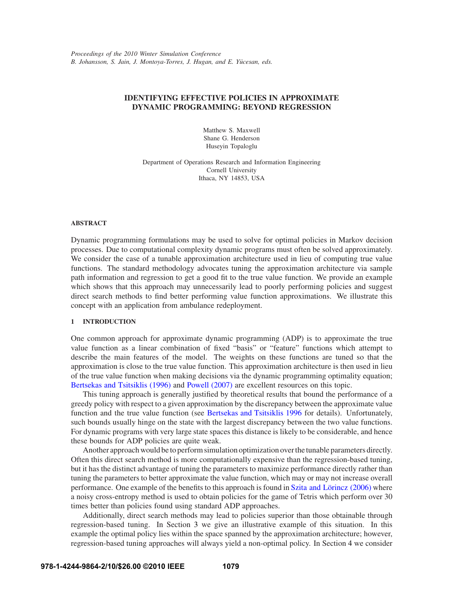# **IDENTIFYING EFFECTIVE POLICIES IN APPROXIMATE DYNAMIC PROGRAMMING: BEYOND REGRESSION**

Matthew S. Maxwell Shane G. Henderson Huseyin Topaloglu

Department of Operations Research and Information Engineering Cornell University Ithaca, NY 14853, USA

### **ABSTRACT**

Dynamic programming formulations may be used to solve for optimal policies in Markov decision processes. Due to computational complexity dynamic programs must often be solved approximately. We consider the case of a tunable approximation architecture used in lieu of computing true value functions. The standard methodology advocates tuning the approximation architecture via sample path information and regression to get a good fit to the true value function. We provide an example which shows that this approach may unnecessarily lead to poorly performing policies and suggest direct search methods to find better performing value function approximations. We illustrate this concept with an application from ambulance redeployment.

## **1 INTRODUCTION**

One common approach for approximate dynamic programming (ADP) is to approximate the true value function as a linear combination of fixed "basis" or "feature" functions which attempt to describe the main features of the model. The weights on these functions are tuned so that the approximation is close to the true value function. This approximation architecture is then used in lieu of the true value function when making decisions via the dynamic programming optimality equation; Bertsekas and Tsitsiklis (1996) and Powell (2007) are excellent resources on this topic.

This tuning approach is generally justified by theoretical results that bound the performance of a greedy policy with respect to a given approximation by the discrepancy between the approximate value function and the true value function (see Bertsekas and Tsitsiklis 1996 for details). Unfortunately, such bounds usually hinge on the state with the largest discrepancy between the two value functions. For dynamic programs with very large state spaces this distance is likely to be considerable, and hence these bounds for ADP policies are quite weak.

Another approach would be to perform simulation optimization over the tunable parameters directly. Often this direct search method is more computationally expensive than the regression-based tuning, but it has the distinct advantage of tuning the parameters to maximize performance directly rather than tuning the parameters to better approximate the value function, which may or may not increase overall performance. One example of the benefits to this approach is found in Szita and Lörincz (2006) where a noisy cross-entropy method is used to obtain policies for the game of Tetris which perform over 30 times better than policies found using standard ADP approaches.

Additionally, direct search methods may lead to policies superior than those obtainable through regression-based tuning. In Section 3 we give an illustrative example of this situation. In this example the optimal policy lies within the space spanned by the approximation architecture; however, regression-based tuning approaches will always yield a non-optimal policy. In Section 4 we consider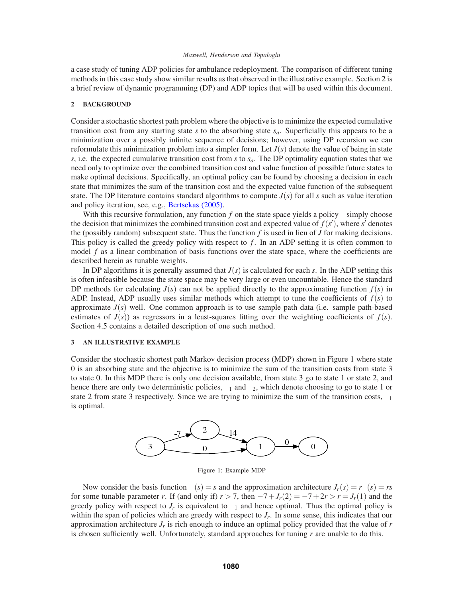a case study of tuning ADP policies for ambulance redeployment. The comparison of different tuning methods in this case study show similar results as that observed in the illustrative example. Section 2 is a brief review of dynamic programming (DP) and ADP topics that will be used within this document.

# **2 BACKGROUND**

Consider a stochastic shortest path problem where the objective is to minimize the expected cumulative transition cost from any starting state *s* to the absorbing state *sa*. Superficially this appears to be a minimization over a possibly infinite sequence of decisions; however, using DP recursion we can reformulate this minimization problem into a simpler form. Let  $J(s)$  denote the value of being in state *s*, i.e. the expected cumulative transition cost from *s* to *sa*. The DP optimality equation states that we need only to optimize over the combined transition cost and value function of possible future states to make optimal decisions. Specifically, an optimal policy can be found by choosing a decision in each state that minimizes the sum of the transition cost and the expected value function of the subsequent state. The DP literature contains standard algorithms to compute  $J(s)$  for all *s* such as value iteration and policy iteration, see, e.g., Bertsekas (2005).

With this recursive formulation, any function *f* on the state space yields a policy—simply choose the decision that minimizes the combined transition cost and expected value of  $f(s')$ , where  $s'$  denotes the (possibly random) subsequent state. Thus the function *f* is used in lieu of *J* for making decisions. This policy is called the greedy policy with respect to *f*. In an ADP setting it is often common to model *f* as a linear combination of basis functions over the state space, where the coefficients are described herein as tunable weights.

In DP algorithms it is generally assumed that  $J(s)$  is calculated for each *s*. In the ADP setting this is often infeasible because the state space may be very large or even uncountable. Hence the standard DP methods for calculating  $J(s)$  can not be applied directly to the approximating function  $f(s)$  in ADP. Instead, ADP usually uses similar methods which attempt to tune the coefficients of  $f(s)$  to approximate *J*(*s*) well. One common approach is to use sample path data (i.e. sample path-based estimates of  $J(s)$ ) as regressors in a least-squares fitting over the weighting coefficients of  $f(s)$ . Section 4.5 contains a detailed description of one such method.

## **3 AN ILLUSTRATIVE EXAMPLE**

Consider the stochastic shortest path Markov decision process (MDP) shown in Figure 1 where state 0 is an absorbing state and the objective is to minimize the sum of the transition costs from state 3 to state 0. In this MDP there is only one decision available, from state 3 go to state 1 or state 2, and hence there are only two deterministic policies,  $\pi_1$  and  $\pi_2$ , which denote choosing to go to state 1 or state 2 from state 3 respectively. Since we are trying to minimize the sum of the transition costs,  $\pi_1$ is optimal.



Figure 1: Example MDP

Now consider the basis function  $\phi(s) = s$  and the approximation architecture  $J_r(s) = r\phi(s) = rs$ for some tunable parameter *r*. If (and only if)  $r > 7$ , then  $-7 + J_r(2) = -7 + 2r > r = J_r(1)$  and the greedy policy with respect to  $J_r$  is equivalent to  $\pi_1$  and hence optimal. Thus the optimal policy is within the span of policies which are greedy with respect to  $J_r$ . In some sense, this indicates that our approximation architecture *Jr* is rich enough to induce an optimal policy provided that the value of *r* is chosen sufficiently well. Unfortunately, standard approaches for tuning *r* are unable to do this.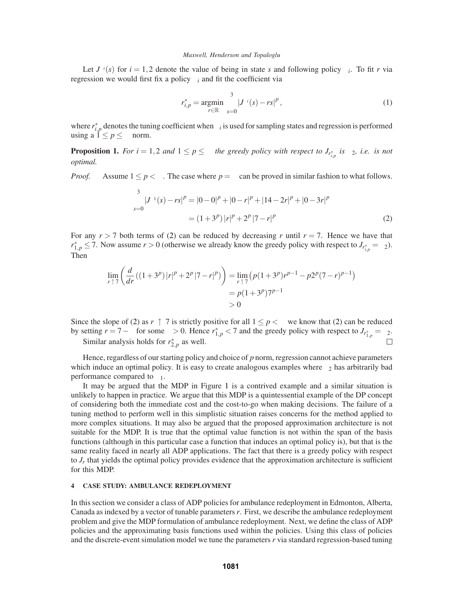Let  $J^{\pi_i}(s)$  for  $i = 1,2$  denote the value of being in state *s* and following policy  $\pi_i$ . To fit *r* via regression we would first fix a policy  $\pi_i$  and fit the coefficient via

$$
r_{i,p}^{*} = \underset{r \in \mathbb{R}}{\text{argmin}} \sum_{s=0}^{3} |J^{\pi_i}(s) - rs|^p, \qquad (1)
$$

where  $r_{i,p}^*$  denotes the tuning coefficient when  $\pi_i$  is used for sampling states and regression is performed using a  $1 \leq p \leq \infty$  norm.

**Proposition 1.** *For i* = 1,2 *and*  $1 \le p \le \infty$  *the greedy policy with respect to*  $J_{r^*_{i,p}}$  *is*  $\pi_2$ *, i.e. is not optimal.*

*Proof.* Assume  $1 \le p < \infty$ . The case where  $p = \infty$  can be proved in similar fashion to what follows.

$$
\sum_{s=0}^{3} |J^{\pi_1}(s) - rs|^p = |0 - 0|^p + |0 - r|^p + |14 - 2r|^p + |0 - 3r|^p
$$
  
=  $(1 + 3^p) |r|^p + 2^p |7 - r|^p$  (2)

For any  $r > 7$  both terms of (2) can be reduced by decreasing *r* until  $r = 7$ . Hence we have that  $r_{1,p}^* \le 7$ . Now assume  $r > 0$  (otherwise we already know the greedy policy with respect to  $J_{r_{i,p}^*} = \pi_2$ ). Then

$$
\lim_{r \uparrow 7} \left( \frac{d}{dr} \left( (1+3^p) \left| r \right|^p + 2^p \left| 7 - r \right|^p \right) \right) = \lim_{r \uparrow 7} \left( p(1+3^p) r^{p-1} - p 2^p (7-r)^{p-1} \right) \n= p(1+3^p) 7^{p-1} \n>0
$$

Since the slope of (2) as  $r \uparrow 7$  is strictly positive for all  $1 \leq p \leq \infty$  we know that (2) can be reduced by setting  $r = 7 - \varepsilon$  for some  $\varepsilon > 0$ . Hence  $r_{1,p}^* < 7$  and the greedy policy with respect to  $J_{r_{1,p}^*} = \pi_2$ . Similar analysis holds for  $r_{2,p}^*$  as well.

Hence, regardless of our starting policy and choice of *p* norm, regression cannot achieve parameters which induce an optimal policy. It is easy to create analogous examples where  $\pi_2$  has arbitrarily bad performance compared to  $\pi_1$ .

It may be argued that the MDP in Figure 1 is a contrived example and a similar situation is unlikely to happen in practice. We argue that this MDP is a quintessential example of the DP concept of considering both the immediate cost and the cost-to-go when making decisions. The failure of a tuning method to perform well in this simplistic situation raises concerns for the method applied to more complex situations. It may also be argued that the proposed approximation architecture is not suitable for the MDP. It is true that the optimal value function is not within the span of the basis functions (although in this particular case a function that induces an optimal policy is), but that is the same reality faced in nearly all ADP applications. The fact that there is a greedy policy with respect to *Jr* that yields the optimal policy provides evidence that the approximation architecture is sufficient for this MDP.

# **4 CASE STUDY: AMBULANCE REDEPLOYMENT**

In this section we consider a class of ADP policies for ambulance redeployment in Edmonton, Alberta, Canada as indexed by a vector of tunable parameters*r*. First, we describe the ambulance redeployment problem and give the MDP formulation of ambulance redeployment. Next, we define the class of ADP policies and the approximating basis functions used within the policies. Using this class of policies and the discrete-event simulation model we tune the parameters *r* via standard regression-based tuning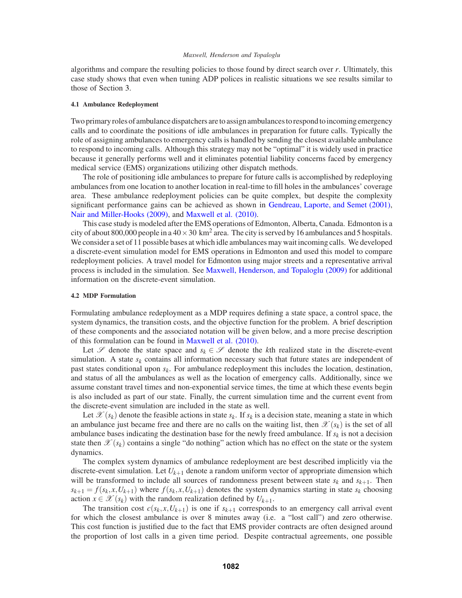algorithms and compare the resulting policies to those found by direct search over *r*. Ultimately, this case study shows that even when tuning ADP polices in realistic situations we see results similar to those of Section 3.

# **4.1 Ambulance Redeployment**

Two primary roles of ambulance dispatchers are to assign ambulances to respond to incoming emergency calls and to coordinate the positions of idle ambulances in preparation for future calls. Typically the role of assigning ambulances to emergency calls is handled by sending the closest available ambulance to respond to incoming calls. Although this strategy may not be "optimal" it is widely used in practice because it generally performs well and it eliminates potential liability concerns faced by emergency medical service (EMS) organizations utilizing other dispatch methods.

The role of positioning idle ambulances to prepare for future calls is accomplished by redeploying ambulances from one location to another location in real-time to fill holes in the ambulances' coverage area. These ambulance redeployment policies can be quite complex, but despite the complexity significant performance gains can be achieved as shown in Gendreau, Laporte, and Semet (2001), Nair and Miller-Hooks (2009), and Maxwell et al. (2010).

This case study is modeled after the EMS operations of Edmonton, Alberta, Canada. Edmonton is a city of about 800,000 people in a  $40 \times 30 \text{ km}^2$  area. The city is served by 16 ambulances and 5 hospitals. We consider a set of 11 possible bases at which idle ambulances may wait incoming calls. We developed a discrete-event simulation model for EMS operations in Edmonton and used this model to compare redeployment policies. A travel model for Edmonton using major streets and a representative arrival process is included in the simulation. See Maxwell, Henderson, and Topaloglu (2009) for additional information on the discrete-event simulation.

### **4.2 MDP Formulation**

Formulating ambulance redeployment as a MDP requires defining a state space, a control space, the system dynamics, the transition costs, and the objective function for the problem. A brief description of these components and the associated notation will be given below, and a more precise description of this formulation can be found in Maxwell et al. (2010).

Let S denote the state space and  $s_k \in \mathcal{S}$  denote the *k*th realized state in the discrete-event simulation. A state  $s_k$  contains all information necessary such that future states are independent of past states conditional upon  $s_k$ . For ambulance redeployment this includes the location, destination, and status of all the ambulances as well as the location of emergency calls. Additionally, since we assume constant travel times and non-exponential service times, the time at which these events begin is also included as part of our state. Finally, the current simulation time and the current event from the discrete-event simulation are included in the state as well.

Let  $\mathcal{X}(s_k)$  denote the feasible actions in state  $s_k$ . If  $s_k$  is a decision state, meaning a state in which an ambulance just became free and there are no calls on the waiting list, then  $\mathscr{X}(s_k)$  is the set of all ambulance bases indicating the destination base for the newly freed ambulance. If  $s_k$  is not a decision state then  $\mathscr{X}(s_k)$  contains a single "do nothing" action which has no effect on the state or the system dynamics.

The complex system dynamics of ambulance redeployment are best described implicitly via the discrete-event simulation. Let  $U_{k+1}$  denote a random uniform vector of appropriate dimension which will be transformed to include all sources of randomness present between state  $s_k$  and  $s_{k+1}$ . Then  $s_{k+1} = f(s_k, x, U_{k+1})$  where  $f(s_k, x, U_{k+1})$  denotes the system dynamics starting in state  $s_k$  choosing action  $x \in \mathcal{X}(s_k)$  with the random realization defined by  $U_{k+1}$ .

The transition cost  $c(s_k, x, U_{k+1})$  is one if  $s_{k+1}$  corresponds to an emergency call arrival event for which the closest ambulance is over 8 minutes away (i.e. a "lost call") and zero otherwise. This cost function is justified due to the fact that EMS provider contracts are often designed around the proportion of lost calls in a given time period. Despite contractual agreements, one possible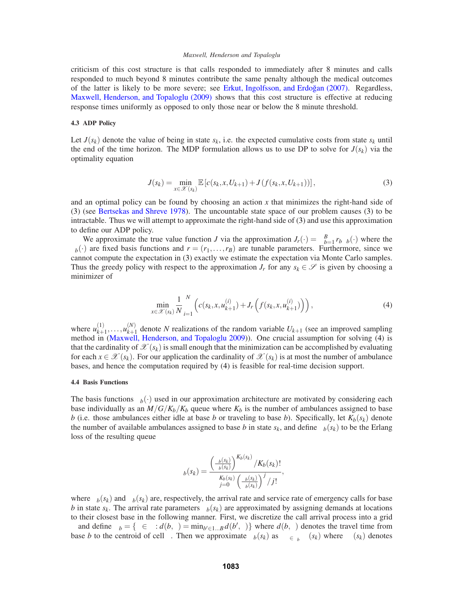criticism of this cost structure is that calls responded to immediately after 8 minutes and calls responded to much beyond 8 minutes contribute the same penalty although the medical outcomes of the latter is likely to be more severe; see Erkut, Ingolfsson, and Erdoğan (2007). Regardless, Maxwell, Henderson, and Topaloglu (2009) shows that this cost structure is effective at reducing response times uniformly as opposed to only those near or below the 8 minute threshold.

### **4.3 ADP Policy**

Let  $J(s_k)$  denote the value of being in state  $s_k$ , i.e. the expected cumulative costs from state  $s_k$  until the end of the time horizon. The MDP formulation allows us to use DP to solve for  $J(s_k)$  via the optimality equation

$$
J(s_k) = \min_{x \in \mathcal{X}(s_k)} \mathbb{E}\left[c(s_k, x, U_{k+1}) + J(f(s_k, x, U_{k+1}))\right],\tag{3}
$$

and an optimal policy can be found by choosing an action *x* that minimizes the right-hand side of (3) (see Bertsekas and Shreve 1978). The uncountable state space of our problem causes (3) to be intractable. Thus we will attempt to approximate the right-hand side of (3) and use this approximation to define our ADP policy.

We approximate the true value function *J* via the approximation  $J_r(\cdot) = \sum_{b=1}^B r_b \phi_b(\cdot)$  where the  $\phi_b(\cdot)$  are fixed basis functions and  $r = (r_1, \ldots, r_B)$  are tunable parameters. Furthermore, since we cannot compute the expectation in (3) exactly we estimate the expectation via Monte Carlo samples. Thus the greedy policy with respect to the approximation *J<sub>r</sub>* for any  $s_k \in \mathscr{S}$  is given by choosing a minimizer of

$$
\min_{x \in \mathcal{X}(s_k)} \frac{1}{N} \sum_{i=1}^N \left( c(s_k, x, u_{k+1}^{(i)}) + J_r\left( f(s_k, x, u_{k+1}^{(i)}) \right) \right),\tag{4}
$$

where  $u_{k+1}^{(1)},...,u_{k+1}^{(N)}$  denote *N* realizations of the random variable  $U_{k+1}$  (see an improved sampling method in (Maxwell, Henderson, and Topaloglu 2009)). One crucial assumption for solving (4) is that the cardinality of  $\mathcal{X}(s_k)$  is small enough that the minimization can be accomplished by evaluating for each  $x \in \mathcal{X}(s_k)$ . For our application the cardinality of  $\mathcal{X}(s_k)$  is at most the number of ambulance bases, and hence the computation required by (4) is feasible for real-time decision support.

#### **4.4 Basis Functions**

The basis functions  $\phi_b(\cdot)$  used in our approximation architecture are motivated by considering each base individually as an  $M/G/K_b/K_b$  queue where  $K_b$  is the number of ambulances assigned to base *b* (i.e. those ambulances either idle at base *b* or traveling to base *b*). Specifically, let  $K_b(s_k)$  denote the number of available ambulances assigned to base *b* in state  $s_k$ , and define  $\phi_b(s_k)$  to be the Erlang loss of the resulting queue

$$
\phi_b(s_k) = \frac{\left(\frac{\lambda_b(s_k)}{\mu_b(s_k)}\right)^{K_b(s_k)}/K_b(s_k)!}{\sum_{j=0}^{K_b(s_k)}\left(\frac{\lambda_b(s_k)}{\mu_b(s_k)}\right)^j/j!},
$$

where  $\lambda_b(s_k)$  and  $\mu_b(s_k)$  are, respectively, the arrival rate and service rate of emergency calls for base *b* in state  $s_k$ . The arrival rate parameters  $\lambda_b(s_k)$  are approximated by assigning demands at locations to their closest base in the following manner. First, we discretize the call arrival process into a grid Γ and define Γ*<sup>b</sup>* = {<sup>γ</sup> ∈ Γ : *d*(*b*, <sup>γ</sup>) = min*b*′ <sup>∈</sup>1...*<sup>B</sup> d*(*b*′ , <sup>γ</sup>)} where *d*(*b*, <sup>γ</sup>) denotes the travel time from base *b* to the centroid of cell  $\gamma$ . Then we approximate  $\lambda_b(s_k)$  as  $\sum_{\gamma \in \Gamma_b} \lambda_{\gamma}(s_k)$  where  $\lambda_{\gamma}(s_k)$  denotes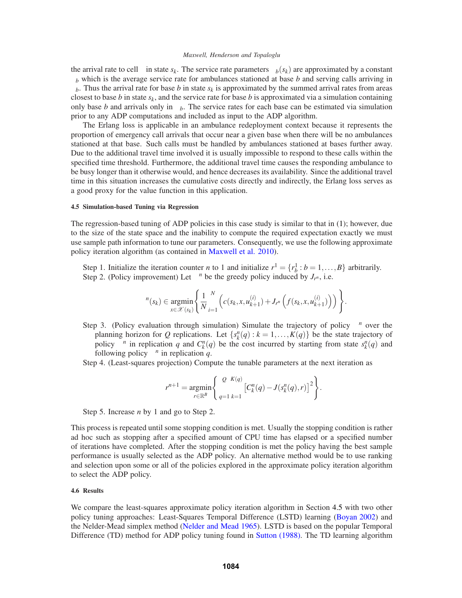the arrival rate to cell  $\gamma$  in state  $s_k$ . The service rate parameters  $\mu_b(s_k)$  are approximated by a constant  $\mu_b$  which is the average service rate for ambulances stationed at base *b* and serving calls arriving in Γ*b*. Thus the arrival rate for base *b* in state *sk* is approximated by the summed arrival rates from areas closest to base *b* in state  $s_k$ , and the service rate for base *b* is approximated via a simulation containing only base *b* and arrivals only in  $\Gamma_b$ . The service rates for each base can be estimated via simulation prior to any ADP computations and included as input to the ADP algorithm.

The Erlang loss is applicable in an ambulance redeployment context because it represents the proportion of emergency call arrivals that occur near a given base when there will be no ambulances stationed at that base. Such calls must be handled by ambulances stationed at bases further away. Due to the additional travel time involved it is usually impossible to respond to these calls within the specified time threshold. Furthermore, the additional travel time causes the responding ambulance to be busy longer than it otherwise would, and hence decreases its availability. Since the additional travel time in this situation increases the cumulative costs directly and indirectly, the Erlang loss serves as a good proxy for the value function in this application.

## **4.5 Simulation-based Tuning via Regression**

The regression-based tuning of ADP policies in this case study is similar to that in (1); however, due to the size of the state space and the inability to compute the required expectation exactly we must use sample path information to tune our parameters. Consequently, we use the following approximate policy iteration algorithm (as contained in Maxwell et al. 2010).

Step 1. Initialize the iteration counter *n* to 1 and initialize  $r^1 = \{r_b^1 : b = 1, ..., B\}$  arbitrarily. Step 2. (Policy improvement) Let  $\mu^n$  be the greedy policy induced by  $J_{r^n}$ , i.e.

$$
\mu^{n}(s_{k}) \in \underset{x \in \mathcal{X}(s_{k})}{\text{argmin}} \left\{ \frac{1}{N} \sum_{i=1}^{N} \left( c(s_{k}, x, u_{k+1}^{(i)}) + J_{r^{n}} \left( f(s_{k}, x, u_{k+1}^{(i)}) \right) \right) \right\}.
$$

Step 3. (Policy evaluation through simulation) Simulate the trajectory of policy  $\mu^n$  over the planning horizon for *Q* replications. Let  $\{s_k^n(q) : k = 1, ..., K(q)\}\)$  be the state trajectory of policy  $\mu^n$  in replication *q* and  $C_k^n(q)$  be the cost incurred by starting from state  $s_k^n(q)$  and following policy  $\mu^n$  in replication *q*.

Step 4. (Least-squares projection) Compute the tunable parameters at the next iteration as

$$
r^{n+1} = \underset{r \in \mathbb{R}^B}{\text{argmin}} \left\{ \sum_{q=1}^Q \sum_{k=1}^{K(q)} \left[ C_k^n(q) - J(s_k^n(q), r) \right]^2 \right\}.
$$

Step 5. Increase *n* by 1 and go to Step 2.

This process is repeated until some stopping condition is met. Usually the stopping condition is rather ad hoc such as stopping after a specified amount of CPU time has elapsed or a specified number of iterations have completed. After the stopping condition is met the policy having the best sample performance is usually selected as the ADP policy. An alternative method would be to use ranking and selection upon some or all of the policies explored in the approximate policy iteration algorithm to select the ADP policy.

## **4.6 Results**

We compare the least-squares approximate policy iteration algorithm in Section 4.5 with two other policy tuning approaches: Least-Squares Temporal Difference (LSTD) learning (Boyan 2002) and the Nelder-Mead simplex method (Nelder and Mead 1965). LSTD is based on the popular Temporal Difference (TD) method for ADP policy tuning found in Sutton (1988). The TD learning algorithm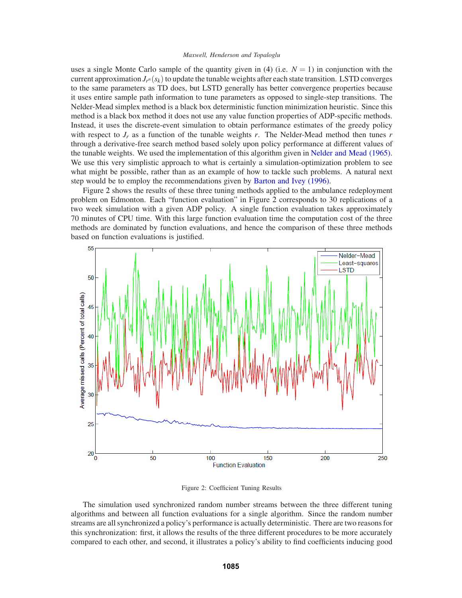uses a single Monte Carlo sample of the quantity given in (4) (i.e.  $N = 1$ ) in conjunction with the current approximation  $J_{r^n}(s_k)$  to update the tunable weights after each state transition. LSTD converges to the same parameters as TD does, but LSTD generally has better convergence properties because it uses entire sample path information to tune parameters as opposed to single-step transitions. The Nelder-Mead simplex method is a black box deterministic function minimization heuristic. Since this method is a black box method it does not use any value function properties of ADP-specific methods. Instead, it uses the discrete-event simulation to obtain performance estimates of the greedy policy with respect to  $J_r$  as a function of the tunable weights  $r$ . The Nelder-Mead method then tunes  $r$ through a derivative-free search method based solely upon policy performance at different values of the tunable weights. We used the implementation of this algorithm given in Nelder and Mead (1965). We use this very simplistic approach to what is certainly a simulation-optimization problem to see what might be possible, rather than as an example of how to tackle such problems. A natural next step would be to employ the recommendations given by Barton and Ivey (1996).

Figure 2 shows the results of these three tuning methods applied to the ambulance redeployment problem on Edmonton. Each "function evaluation" in Figure 2 corresponds to 30 replications of a two week simulation with a given ADP policy. A single function evaluation takes approximately 70 minutes of CPU time. With this large function evaluation time the computation cost of the three methods are dominated by function evaluations, and hence the comparison of these three methods based on function evaluations is justified.



Figure 2: Coefficient Tuning Results

The simulation used synchronized random number streams between the three different tuning algorithms and between all function evaluations for a single algorithm. Since the random number streams are all synchronized a policy's performance is actually deterministic. There are two reasons for this synchronization: first, it allows the results of the three different procedures to be more accurately compared to each other, and second, it illustrates a policy's ability to find coefficients inducing good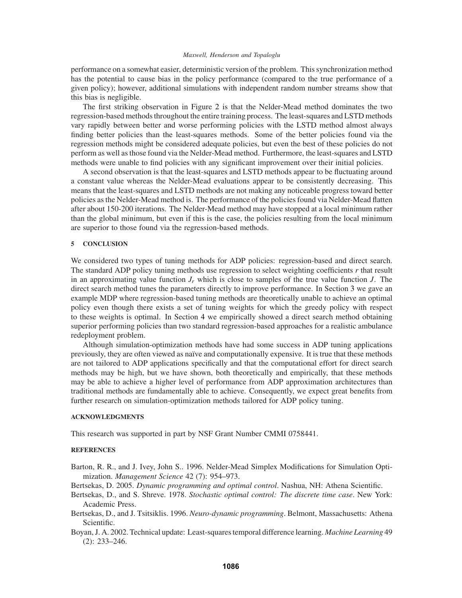performance on a somewhat easier, deterministic version of the problem. This synchronization method has the potential to cause bias in the policy performance (compared to the true performance of a given policy); however, additional simulations with independent random number streams show that this bias is negligible.

The first striking observation in Figure 2 is that the Nelder-Mead method dominates the two regression-based methods throughout the entire training process. The least-squares and LSTD methods vary rapidly between better and worse performing policies with the LSTD method almost always finding better policies than the least-squares methods. Some of the better policies found via the regression methods might be considered adequate policies, but even the best of these policies do not perform as well as those found via the Nelder-Mead method. Furthermore, the least-squares and LSTD methods were unable to find policies with any significant improvement over their initial policies.

A second observation is that the least-squares and LSTD methods appear to be fluctuating around a constant value whereas the Nelder-Mead evaluations appear to be consistently decreasing. This means that the least-squares and LSTD methods are not making any noticeable progress toward better policies as the Nelder-Mead method is. The performance of the policies found via Nelder-Mead flatten after about 150-200 iterations. The Nelder-Mead method may have stopped at a local minimum rather than the global minimum, but even if this is the case, the policies resulting from the local minimum are superior to those found via the regression-based methods.

## **5 CONCLUSION**

We considered two types of tuning methods for ADP policies: regression-based and direct search. The standard ADP policy tuning methods use regression to select weighting coefficients *r* that result in an approximating value function  $J_r$  which is close to samples of the true value function  $J$ . The direct search method tunes the parameters directly to improve performance. In Section 3 we gave an example MDP where regression-based tuning methods are theoretically unable to achieve an optimal policy even though there exists a set of tuning weights for which the greedy policy with respect to these weights is optimal. In Section 4 we empirically showed a direct search method obtaining superior performing policies than two standard regression-based approaches for a realistic ambulance redeployment problem.

Although simulation-optimization methods have had some success in ADP tuning applications previously, they are often viewed as naïve and computationally expensive. It is true that these methods are not tailored to ADP applications specifically and that the computational effort for direct search methods may be high, but we have shown, both theoretically and empirically, that these methods may be able to achieve a higher level of performance from ADP approximation architectures than traditional methods are fundamentally able to achieve. Consequently, we expect great benefits from further research on simulation-optimization methods tailored for ADP policy tuning.

### **ACKNOWLEDGMENTS**

This research was supported in part by NSF Grant Number CMMI 0758441.

## **REFERENCES**

Barton, R. R., and J. Ivey, John S.. 1996. Nelder-Mead Simplex Modifications for Simulation Optimization. *Management Science* 42 (7): 954–973.

- Bertsekas, D. 2005. *Dynamic programming and optimal control*. Nashua, NH: Athena Scientific.
- Bertsekas, D., and S. Shreve. 1978. *Stochastic optimal control: The discrete time case*. New York: Academic Press.
- Bertsekas, D., and J. Tsitsiklis. 1996. *Neuro-dynamic programming*. Belmont, Massachusetts: Athena Scientific.
- Boyan, J. A. 2002. Technical update: Least-squares temporal difference learning. *Machine Learning* 49 (2): 233–246.